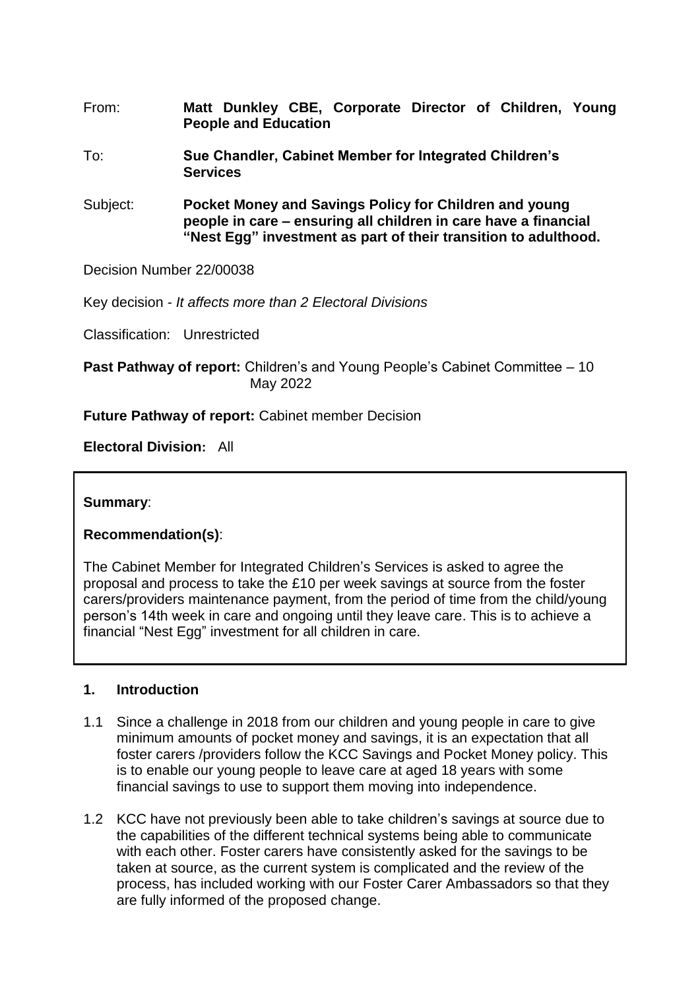- From: **Matt Dunkley CBE, Corporate Director of Children, Young People and Education**
- To: **Sue Chandler, Cabinet Member for Integrated Children's Services**
- Subject: **Pocket Money and Savings Policy for Children and young people in care – ensuring all children in care have a financial "Nest Egg" investment as part of their transition to adulthood.**

Decision Number 22/00038

Key decision - *It affects more than 2 Electoral Divisions*

Classification: Unrestricted

**Past Pathway of report:** Children's and Young People's Cabinet Committee – 10 May 2022

**Future Pathway of report:** Cabinet member Decision

**Electoral Division:** All

**Summary**:

**Recommendation(s)**:

The Cabinet Member for Integrated Children's Services is asked to agree the proposal and process to take the £10 per week savings at source from the foster carers/providers maintenance payment, from the period of time from the child/young person's 14th week in care and ongoing until they leave care. This is to achieve a financial "Nest Egg" investment for all children in care.

#### **1. Introduction**

- 1.1 Since a challenge in 2018 from our children and young people in care to give minimum amounts of pocket money and savings, it is an expectation that all foster carers /providers follow the KCC Savings and Pocket Money policy. This is to enable our young people to leave care at aged 18 years with some financial savings to use to support them moving into independence.
- 1.2 KCC have not previously been able to take children's savings at source due to the capabilities of the different technical systems being able to communicate with each other. Foster carers have consistently asked for the savings to be taken at source, as the current system is complicated and the review of the process, has included working with our Foster Carer Ambassadors so that they are fully informed of the proposed change.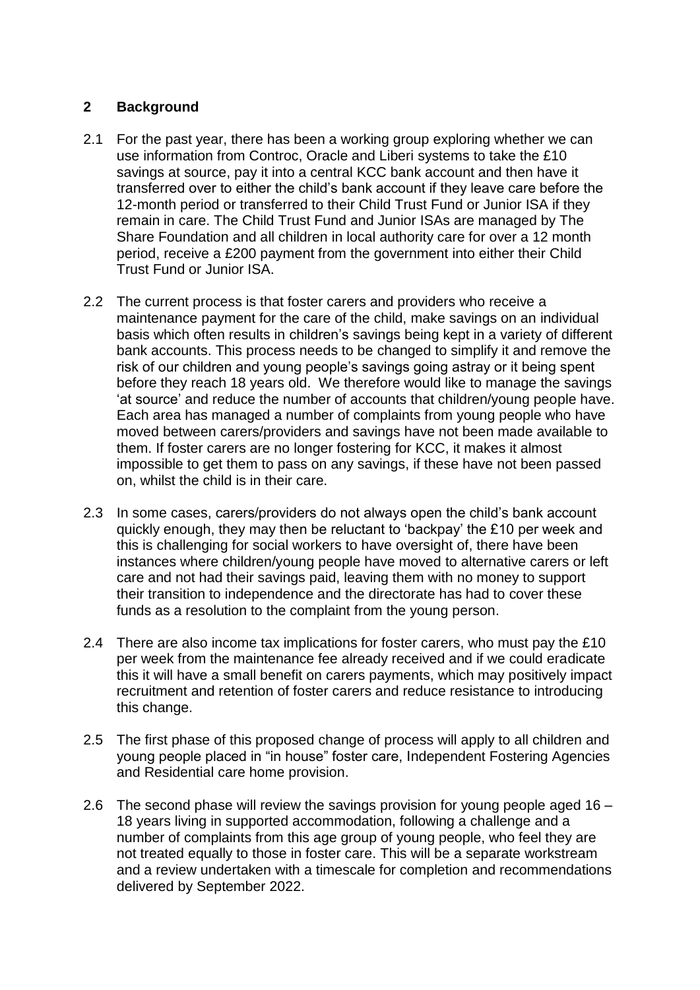# **2 Background**

- 2.1 For the past year, there has been a working group exploring whether we can use information from Controc, Oracle and Liberi systems to take the £10 savings at source, pay it into a central KCC bank account and then have it transferred over to either the child's bank account if they leave care before the 12-month period or transferred to their Child Trust Fund or Junior ISA if they remain in care. The Child Trust Fund and Junior ISAs are managed by The Share Foundation and all children in local authority care for over a 12 month period, receive a £200 payment from the government into either their Child Trust Fund or Junior ISA.
- 2.2 The current process is that foster carers and providers who receive a maintenance payment for the care of the child, make savings on an individual basis which often results in children's savings being kept in a variety of different bank accounts. This process needs to be changed to simplify it and remove the risk of our children and young people's savings going astray or it being spent before they reach 18 years old. We therefore would like to manage the savings 'at source' and reduce the number of accounts that children/young people have. Each area has managed a number of complaints from young people who have moved between carers/providers and savings have not been made available to them. If foster carers are no longer fostering for KCC, it makes it almost impossible to get them to pass on any savings, if these have not been passed on, whilst the child is in their care.
- 2.3 In some cases, carers/providers do not always open the child's bank account quickly enough, they may then be reluctant to 'backpay' the £10 per week and this is challenging for social workers to have oversight of, there have been instances where children/young people have moved to alternative carers or left care and not had their savings paid, leaving them with no money to support their transition to independence and the directorate has had to cover these funds as a resolution to the complaint from the young person.
- 2.4 There are also income tax implications for foster carers, who must pay the £10 per week from the maintenance fee already received and if we could eradicate this it will have a small benefit on carers payments, which may positively impact recruitment and retention of foster carers and reduce resistance to introducing this change.
- 2.5 The first phase of this proposed change of process will apply to all children and young people placed in "in house" foster care, Independent Fostering Agencies and Residential care home provision.
- 2.6 The second phase will review the savings provision for young people aged 16 18 years living in supported accommodation, following a challenge and a number of complaints from this age group of young people, who feel they are not treated equally to those in foster care. This will be a separate workstream and a review undertaken with a timescale for completion and recommendations delivered by September 2022.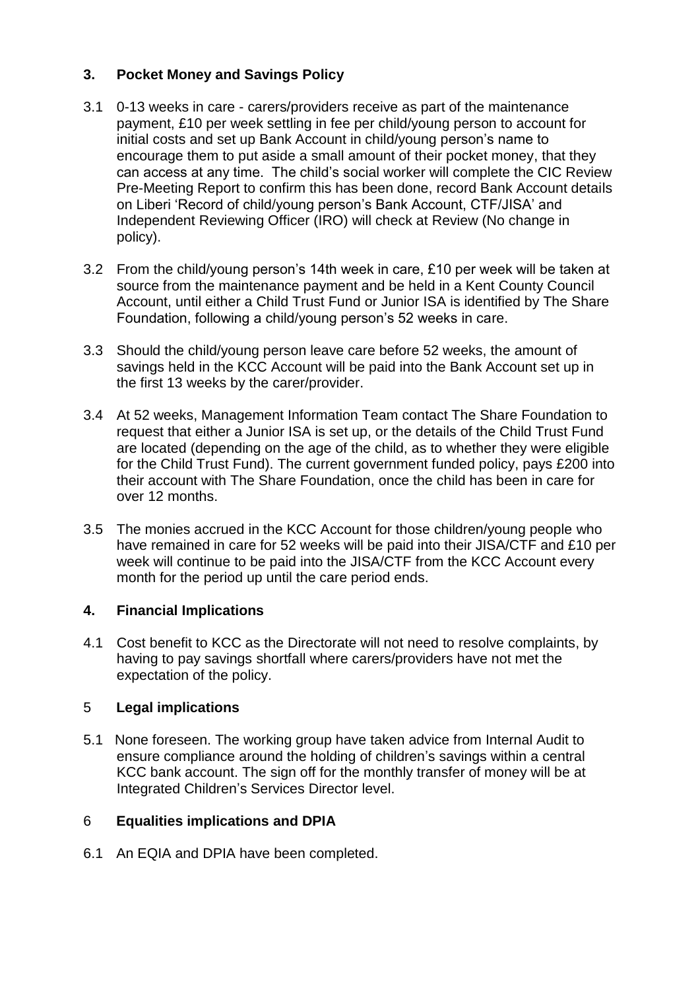# **3. Pocket Money and Savings Policy**

- 3.1 0-13 weeks in care carers/providers receive as part of the maintenance payment, £10 per week settling in fee per child/young person to account for initial costs and set up Bank Account in child/young person's name to encourage them to put aside a small amount of their pocket money, that they can access at any time. The child's social worker will complete the CIC Review Pre-Meeting Report to confirm this has been done, record Bank Account details on Liberi 'Record of child/young person's Bank Account, CTF/JISA' and Independent Reviewing Officer (IRO) will check at Review (No change in policy).
- 3.2 From the child/young person's 14th week in care, £10 per week will be taken at source from the maintenance payment and be held in a Kent County Council Account, until either a Child Trust Fund or Junior ISA is identified by The Share Foundation, following a child/young person's 52 weeks in care.
- 3.3 Should the child/young person leave care before 52 weeks, the amount of savings held in the KCC Account will be paid into the Bank Account set up in the first 13 weeks by the carer/provider.
- 3.4 At 52 weeks, Management Information Team contact The Share Foundation to request that either a Junior ISA is set up, or the details of the Child Trust Fund are located (depending on the age of the child, as to whether they were eligible for the Child Trust Fund). The current government funded policy, pays £200 into their account with The Share Foundation, once the child has been in care for over 12 months.
- 3.5 The monies accrued in the KCC Account for those children/young people who have remained in care for 52 weeks will be paid into their JISA/CTF and £10 per week will continue to be paid into the JISA/CTF from the KCC Account every month for the period up until the care period ends.

# **4. Financial Implications**

4.1 Cost benefit to KCC as the Directorate will not need to resolve complaints, by having to pay savings shortfall where carers/providers have not met the expectation of the policy.

#### 5 **Legal implications**

5.1 None foreseen. The working group have taken advice from Internal Audit to ensure compliance around the holding of children's savings within a central KCC bank account. The sign off for the monthly transfer of money will be at Integrated Children's Services Director level.

# 6 **Equalities implications and DPIA**

6.1 An EQIA and DPIA have been completed.